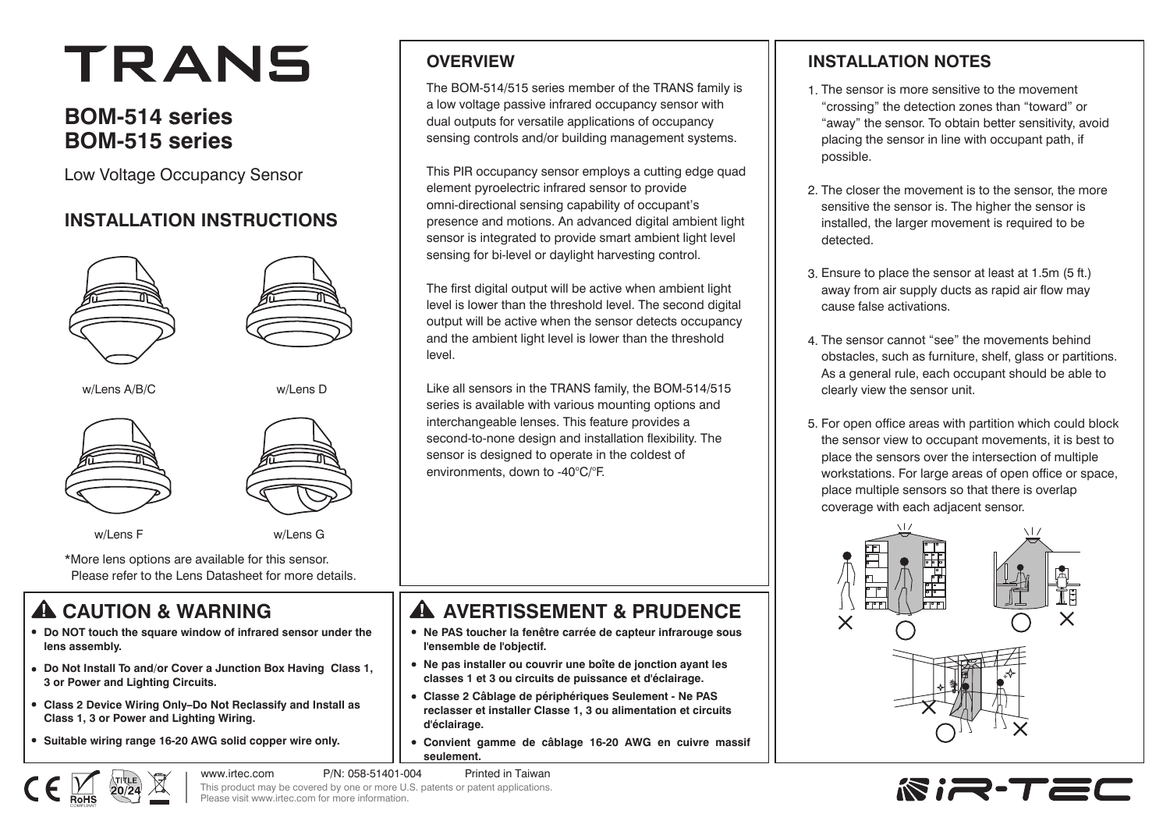# TRANS

## **BOM-514 series BOM-515 series**

Low Voltage Occupancy Sensor

#### **INSTALLATION INSTRUCTIONS**





w/Lens A/B/C w/Lens D







w/Lens F w/Lens G

\*More lens options are available for this sensor. Please refer to the Lens Datasheet for more details.

# **CAUTION & WARNING**

- **Do NOT touch the square window of infrared sensor under the lens assembly.**
- **Do Not Install To and/or Cover a Junction Box Having Class 1, 3 or Power and Lighting Circuits.**
- **Class 2 Device Wiring Only–Do Not Reclassify and Install as Class 1, 3 or Power and Lighting Wiring.**
- **Suitable wiring range 16-20 AWG solid copper wire only.**

#### **OVERVIEW**

The BOM-514/515 series member of the TRANS family is a low voltage passive infrared occupancy sensor with dual outputs for versatile applications of occupancy sensing controls and/or building management systems.

This PIR occupancy sensor employs a cutting edge quad element pyroelectric infrared sensor to provide omni-directional sensing capability of occupant's presence and motions. An advanced digital ambient light sensor is integrated to provide smart ambient light level sensing for bi-level or daylight harvesting control.

The first digital output will be active when ambient light level is lower than the threshold level. The second digital output will be active when the sensor detects occupancy and the ambient light level is lower than the threshold level.

Like all sensors in the TRANS family, the BOM-514/515 series is available with various mounting options and interchangeable lenses. This feature provides a second-to-none design and installation flexibility. The sensor is designed to operate in the coldest of environments, down to -40°C/°F.

# **A AVERTISSEMENT & PRUDENCE**

- **Ne PAS toucher la fenêtre carrée de capteur infrarouge sous l'ensemble de l'objectif.**
- **Ne pas installer ou couvrir une boîte de jonction ayant les classes 1 et 3 ou circuits de puissance et d'éclairage.**
- **Classe 2 Câblage de périphériques Seulement Ne PAS reclasser et installer Classe 1, 3 ou alimentation et circuits d'éclairage.**
- **Convient gamme de câblage 16-20 AWG en cuivre massif seulement.**



#### **INSTALLATION NOTES**

- 1. The sensor is more sensitive to the movement "crossing" the detection zones than "toward" or "away" the sensor. To obtain better sensitivity, avoid placing the sensor in line with occupant path, if possible.
- 2. The closer the movement is to the sensor, the more sensitive the sensor is. The higher the sensor is installed, the larger movement is required to be detected.
- Ensure to place the sensor at least at 1.5m (5 ft.) 3. away from air supply ducts as rapid air flow may cause false activations.
- The sensor cannot "see" the movements behind 4. obstacles, such as furniture, shelf, glass or partitions. As a general rule, each occupant should be able to clearly view the sensor unit.
- 5. For open office areas with partition which could block the sensor view to occupant movements, it is best to place the sensors over the intersection of multiple workstations. For large areas of open office or space, place multiple sensors so that there is overlap coverage with each adjacent sensor.